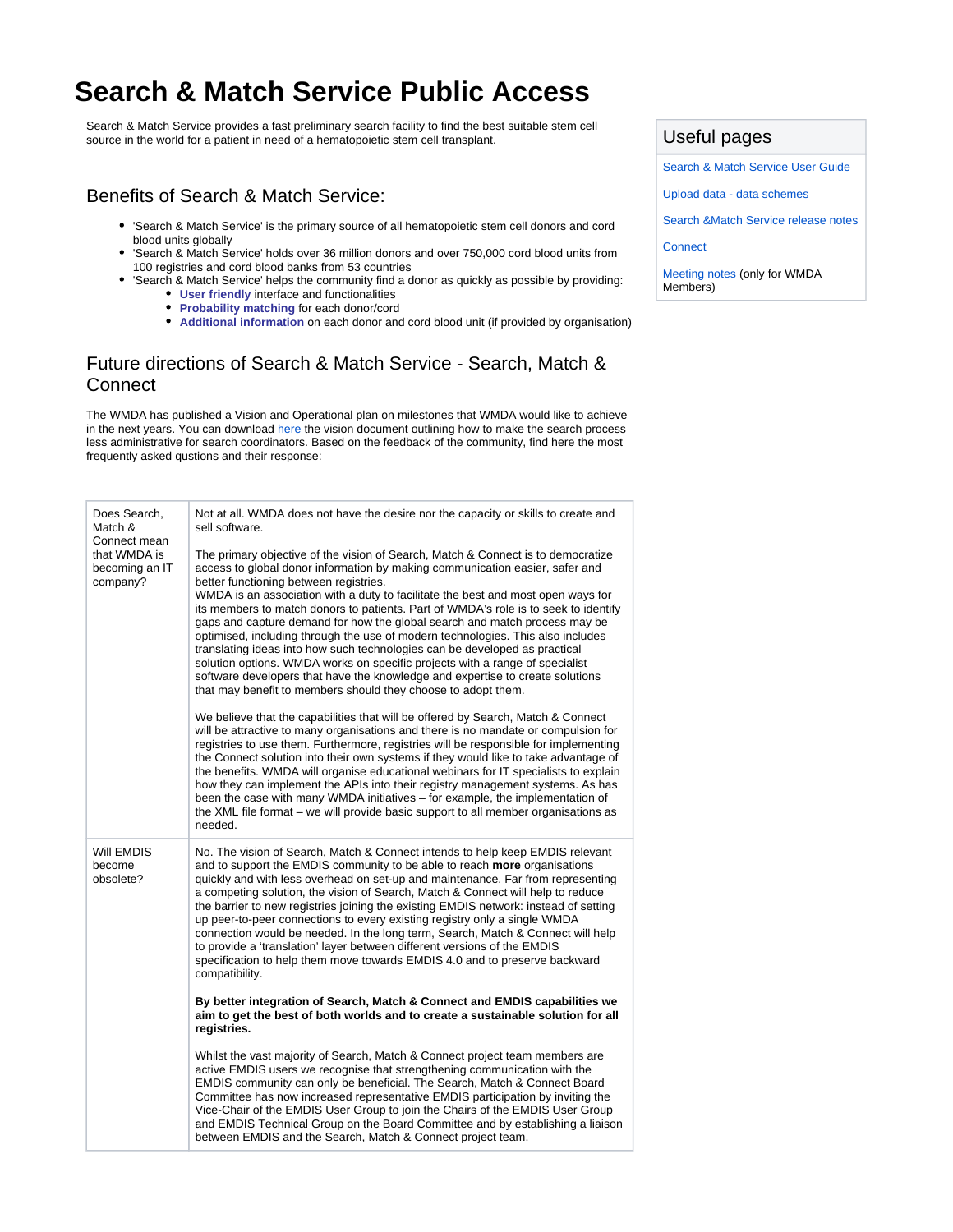## **Search & Match Service Public Access**

Search & Match Service provides a fast preliminary search facility to find the best suitable stem cell source in the world for a patient in need of a hematopoietic stem cell transplant.

## Benefits of Search & Match Service:

- 'Search & Match Service' is the primary source of all hematopoietic stem cell donors and cord blood units globally
- $\bullet$ 'Search & Match Service' holds over 36 million donors and over 750,000 cord blood units from 100 registries and cord blood banks from 53 countries
- 'Search & Match Service' helps the community find a donor as quickly as possible by providing: **User friendly** interface and functionalities
	- **Probability matching for each donor/cord**
	- **Additional information** on each donor and cord blood unit (if provided by organisation)

## Future directions of Search & Match Service - Search, Match & **Connect**

The WMDA has published a Vision and Operational plan on milestones that WMDA would like to achieve in the next years. You can download [here](https://share.wmda.info/x/tBqOF) the vision document outlining how to make the search process less administrative for search coordinators. Based on the feedback of the community, find here the most frequently asked qustions and their response:

| Does Search,<br>Match &                                    | Not at all. WMDA does not have the desire nor the capacity or skills to create and<br>sell software.                                                                                                                                                                                                                                                                                                                                                                                                                                                                                                                                                                                                                                                                                                                                                                   |
|------------------------------------------------------------|------------------------------------------------------------------------------------------------------------------------------------------------------------------------------------------------------------------------------------------------------------------------------------------------------------------------------------------------------------------------------------------------------------------------------------------------------------------------------------------------------------------------------------------------------------------------------------------------------------------------------------------------------------------------------------------------------------------------------------------------------------------------------------------------------------------------------------------------------------------------|
| Connect mean<br>that WMDA is<br>becoming an IT<br>company? | The primary objective of the vision of Search, Match & Connect is to democratize<br>access to global donor information by making communication easier, safer and<br>better functioning between registries.<br>WMDA is an association with a duty to facilitate the best and most open ways for<br>its members to match donors to patients. Part of WMDA's role is to seek to identify<br>gaps and capture demand for how the global search and match process may be<br>optimised, including through the use of modern technologies. This also includes<br>translating ideas into how such technologies can be developed as practical<br>solution options. WMDA works on specific projects with a range of specialist<br>software developers that have the knowledge and expertise to create solutions<br>that may benefit to members should they choose to adopt them. |
|                                                            | We believe that the capabilities that will be offered by Search, Match & Connect<br>will be attractive to many organisations and there is no mandate or compulsion for<br>registries to use them. Furthermore, registries will be responsible for implementing<br>the Connect solution into their own systems if they would like to take advantage of<br>the benefits. WMDA will organise educational webinars for IT specialists to explain<br>how they can implement the APIs into their registry management systems. As has<br>been the case with many WMDA initiatives – for example, the implementation of<br>the XML file format – we will provide basic support to all member organisations as<br>needed.                                                                                                                                                       |
| Will EMDIS<br>become<br>obsolete?                          | No. The vision of Search, Match & Connect intends to help keep EMDIS relevant<br>and to support the EMDIS community to be able to reach more organisations<br>quickly and with less overhead on set-up and maintenance. Far from representing<br>a competing solution, the vision of Search, Match & Connect will help to reduce<br>the barrier to new registries joining the existing EMDIS network: instead of setting<br>up peer-to-peer connections to every existing registry only a single WMDA<br>connection would be needed. In the long term, Search, Match & Connect will help<br>to provide a 'translation' layer between different versions of the EMDIS<br>specification to help them move towards EMDIS 4.0 and to preserve backward<br>compatibility.                                                                                                   |
|                                                            | By better integration of Search, Match & Connect and EMDIS capabilities we<br>aim to get the best of both worlds and to create a sustainable solution for all<br>registries.                                                                                                                                                                                                                                                                                                                                                                                                                                                                                                                                                                                                                                                                                           |
|                                                            | Whilst the vast majority of Search, Match & Connect project team members are<br>active EMDIS users we recognise that strengthening communication with the<br>EMDIS community can only be beneficial. The Search, Match & Connect Board<br>Committee has now increased representative EMDIS participation by inviting the<br>Vice-Chair of the EMDIS User Group to join the Chairs of the EMDIS User Group<br>and EMDIS Technical Group on the Board Committee and by establishing a liaison<br>between EMDIS and the Search, Match & Connect project team.                                                                                                                                                                                                                                                                                                             |

## Useful pages

[Search & Match Service User Guide](https://share.wmda.info/pages/viewpage.action?pageId=118784026)

[Upload](https://share.wmda.info/display/BMDWPUB/Upload+Data+-+Data+Schemes) [data - data schemes](https://share.wmda.info/x/HYDVCQ)

[Search &Match Service release notes](https://share.wmda.info/pages/viewpage.action?pageId=333715456)

**[Connect](https://share.wmda.info/x/xUKOF)** 

[Meeting notes](https://share.wmda.info/x/XwcjF) (only for WMDA Members)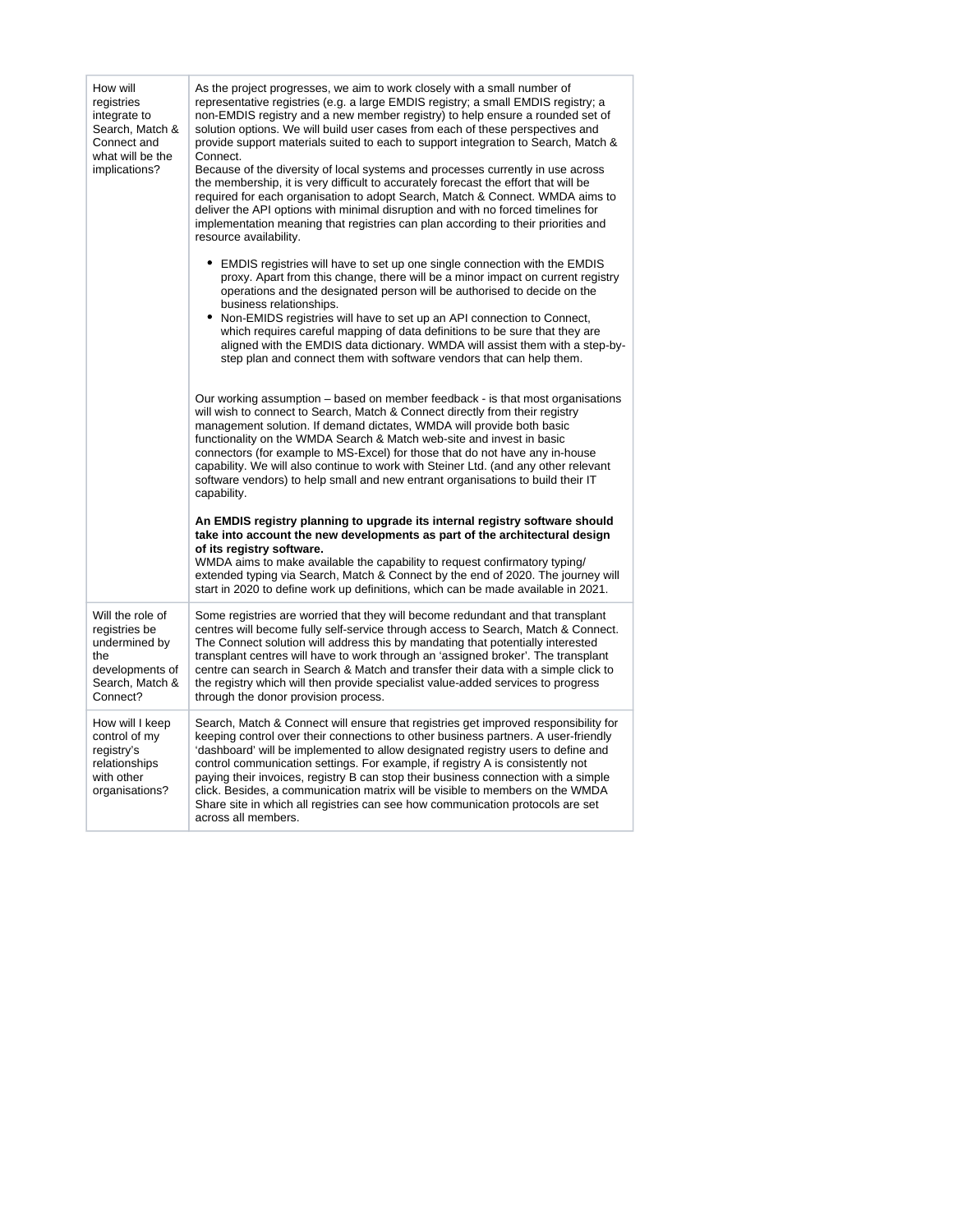| How will<br>registries<br>integrate to<br>Search, Match &<br>Connect and<br>what will be the<br>implications? | As the project progresses, we aim to work closely with a small number of<br>representative registries (e.g. a large EMDIS registry; a small EMDIS registry; a<br>non-EMDIS registry and a new member registry) to help ensure a rounded set of<br>solution options. We will build user cases from each of these perspectives and<br>provide support materials suited to each to support integration to Search, Match &<br>Connect.<br>Because of the diversity of local systems and processes currently in use across<br>the membership, it is very difficult to accurately forecast the effort that will be<br>required for each organisation to adopt Search, Match & Connect. WMDA aims to<br>deliver the API options with minimal disruption and with no forced timelines for<br>implementation meaning that registries can plan according to their priorities and<br>resource availability. |
|---------------------------------------------------------------------------------------------------------------|--------------------------------------------------------------------------------------------------------------------------------------------------------------------------------------------------------------------------------------------------------------------------------------------------------------------------------------------------------------------------------------------------------------------------------------------------------------------------------------------------------------------------------------------------------------------------------------------------------------------------------------------------------------------------------------------------------------------------------------------------------------------------------------------------------------------------------------------------------------------------------------------------|
|                                                                                                               | • EMDIS registries will have to set up one single connection with the EMDIS<br>proxy. Apart from this change, there will be a minor impact on current registry<br>operations and the designated person will be authorised to decide on the<br>business relationships.<br>Non-EMIDS registries will have to set up an API connection to Connect,<br>which requires careful mapping of data definitions to be sure that they are<br>aligned with the EMDIS data dictionary. WMDA will assist them with a step-by-<br>step plan and connect them with software vendors that can help them.                                                                                                                                                                                                                                                                                                          |
|                                                                                                               | Our working assumption – based on member feedback - is that most organisations<br>will wish to connect to Search, Match & Connect directly from their registry<br>management solution. If demand dictates, WMDA will provide both basic<br>functionality on the WMDA Search & Match web-site and invest in basic<br>connectors (for example to MS-Excel) for those that do not have any in-house<br>capability. We will also continue to work with Steiner Ltd. (and any other relevant<br>software vendors) to help small and new entrant organisations to build their IT<br>capability.                                                                                                                                                                                                                                                                                                        |
|                                                                                                               | An EMDIS registry planning to upgrade its internal registry software should<br>take into account the new developments as part of the architectural design<br>of its registry software.<br>WMDA aims to make available the capability to request confirmatory typing/<br>extended typing via Search, Match & Connect by the end of 2020. The journey will<br>start in 2020 to define work up definitions, which can be made available in 2021.                                                                                                                                                                                                                                                                                                                                                                                                                                                    |
| Will the role of<br>registries be<br>undermined by<br>the<br>developments of<br>Search, Match &<br>Connect?   | Some registries are worried that they will become redundant and that transplant<br>centres will become fully self-service through access to Search, Match & Connect.<br>The Connect solution will address this by mandating that potentially interested<br>transplant centres will have to work through an 'assigned broker'. The transplant<br>centre can search in Search & Match and transfer their data with a simple click to<br>the registry which will then provide specialist value-added services to progress<br>through the donor provision process.                                                                                                                                                                                                                                                                                                                                   |
| How will I keep<br>control of my<br>registry's<br>relationships<br>with other<br>organisations?               | Search, Match & Connect will ensure that registries get improved responsibility for<br>keeping control over their connections to other business partners. A user-friendly<br>'dashboard' will be implemented to allow designated registry users to define and<br>control communication settings. For example, if registry A is consistently not<br>paying their invoices, registry B can stop their business connection with a simple<br>click. Besides, a communication matrix will be visible to members on the WMDA<br>Share site in which all registries can see how communication protocols are set<br>across all members.                                                                                                                                                                                                                                                                  |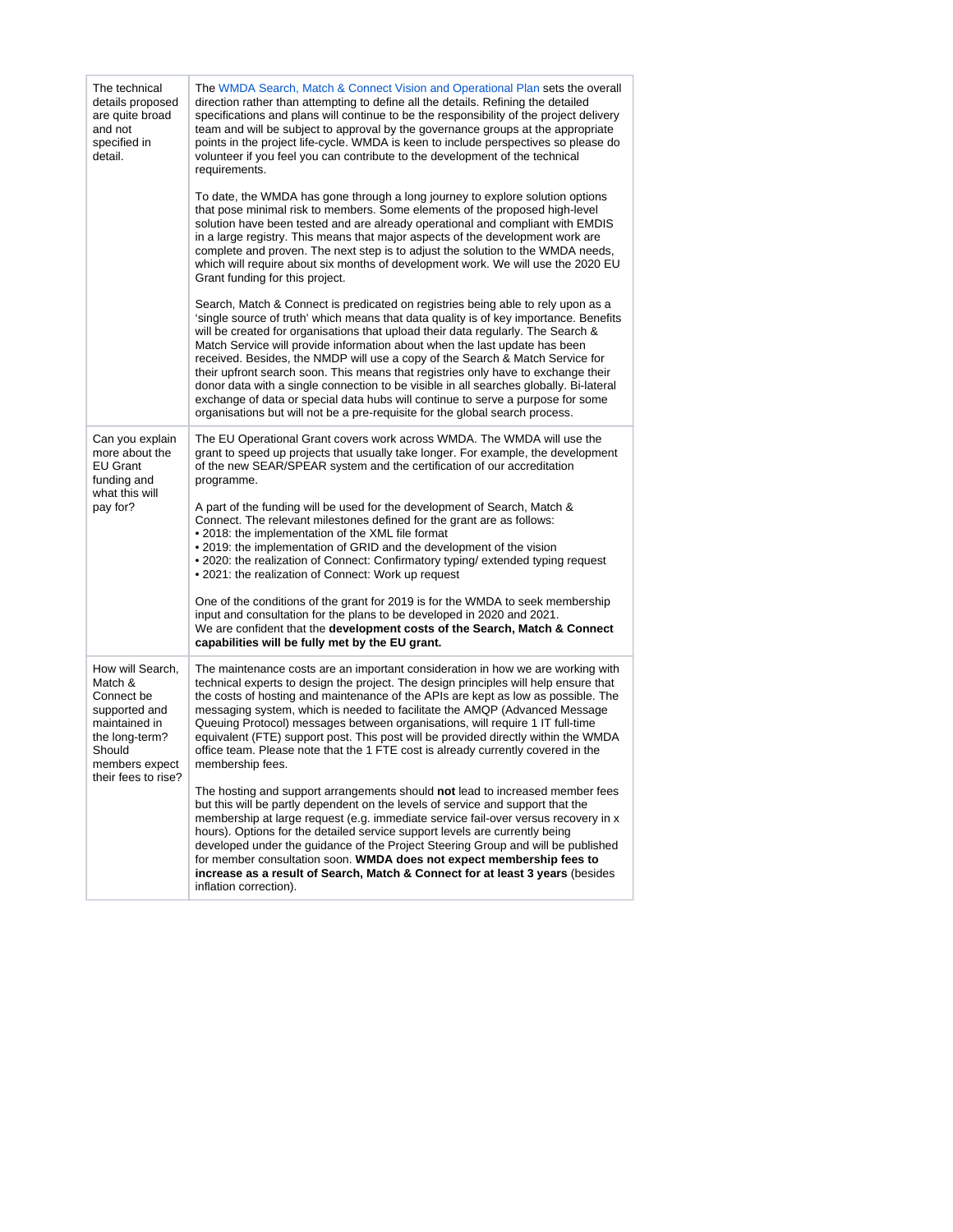| The technical<br>details proposed<br>are quite broad<br>and not<br>specified in<br>detail.                                                       | The WMDA Search, Match & Connect Vision and Operational Plan sets the overall<br>direction rather than attempting to define all the details. Refining the detailed<br>specifications and plans will continue to be the responsibility of the project delivery<br>team and will be subject to approval by the governance groups at the appropriate<br>points in the project life-cycle. WMDA is keen to include perspectives so please do<br>volunteer if you feel you can contribute to the development of the technical<br>requirements.                                                                                                                                                                                                                                      |
|--------------------------------------------------------------------------------------------------------------------------------------------------|--------------------------------------------------------------------------------------------------------------------------------------------------------------------------------------------------------------------------------------------------------------------------------------------------------------------------------------------------------------------------------------------------------------------------------------------------------------------------------------------------------------------------------------------------------------------------------------------------------------------------------------------------------------------------------------------------------------------------------------------------------------------------------|
|                                                                                                                                                  | To date, the WMDA has gone through a long journey to explore solution options<br>that pose minimal risk to members. Some elements of the proposed high-level<br>solution have been tested and are already operational and compliant with EMDIS<br>in a large registry. This means that major aspects of the development work are<br>complete and proven. The next step is to adjust the solution to the WMDA needs,<br>which will require about six months of development work. We will use the 2020 EU<br>Grant funding for this project.                                                                                                                                                                                                                                     |
|                                                                                                                                                  | Search, Match & Connect is predicated on registries being able to rely upon as a<br>'single source of truth' which means that data quality is of key importance. Benefits<br>will be created for organisations that upload their data regularly. The Search &<br>Match Service will provide information about when the last update has been<br>received. Besides, the NMDP will use a copy of the Search & Match Service for<br>their upfront search soon. This means that registries only have to exchange their<br>donor data with a single connection to be visible in all searches globally. Bi-lateral<br>exchange of data or special data hubs will continue to serve a purpose for some<br>organisations but will not be a pre-requisite for the global search process. |
| Can you explain<br>more about the<br>EU Grant<br>funding and<br>what this will<br>pay for?                                                       | The EU Operational Grant covers work across WMDA. The WMDA will use the<br>grant to speed up projects that usually take longer. For example, the development<br>of the new SEAR/SPEAR system and the certification of our accreditation<br>programme.                                                                                                                                                                                                                                                                                                                                                                                                                                                                                                                          |
|                                                                                                                                                  | A part of the funding will be used for the development of Search, Match &<br>Connect. The relevant milestones defined for the grant are as follows:<br>• 2018: the implementation of the XML file format<br>. 2019: the implementation of GRID and the development of the vision<br>• 2020: the realization of Connect: Confirmatory typing/ extended typing request<br>. 2021: the realization of Connect: Work up request                                                                                                                                                                                                                                                                                                                                                    |
|                                                                                                                                                  | One of the conditions of the grant for 2019 is for the WMDA to seek membership<br>input and consultation for the plans to be developed in 2020 and 2021.<br>We are confident that the development costs of the Search, Match & Connect<br>capabilities will be fully met by the EU grant.                                                                                                                                                                                                                                                                                                                                                                                                                                                                                      |
| How will Search,<br>Match &<br>Connect be<br>supported and<br>maintained in<br>the long-term?<br>Should<br>members expect<br>their fees to rise? | The maintenance costs are an important consideration in how we are working with<br>technical experts to design the project. The design principles will help ensure that<br>the costs of hosting and maintenance of the APIs are kept as low as possible. The<br>messaging system, which is needed to facilitate the AMQP (Advanced Message<br>Queuing Protocol) messages between organisations, will require 1 IT full-time<br>equivalent (FTE) support post. This post will be provided directly within the WMDA<br>office team. Please note that the 1 FTE cost is already currently covered in the<br>membership fees.                                                                                                                                                      |
|                                                                                                                                                  | The hosting and support arrangements should not lead to increased member fees<br>but this will be partly dependent on the levels of service and support that the<br>membership at large request (e.g. immediate service fail-over versus recovery in x<br>hours). Options for the detailed service support levels are currently being<br>developed under the guidance of the Project Steering Group and will be published<br>for member consultation soon. WMDA does not expect membership fees to<br>increase as a result of Search, Match & Connect for at least 3 years (besides<br>inflation correction).                                                                                                                                                                  |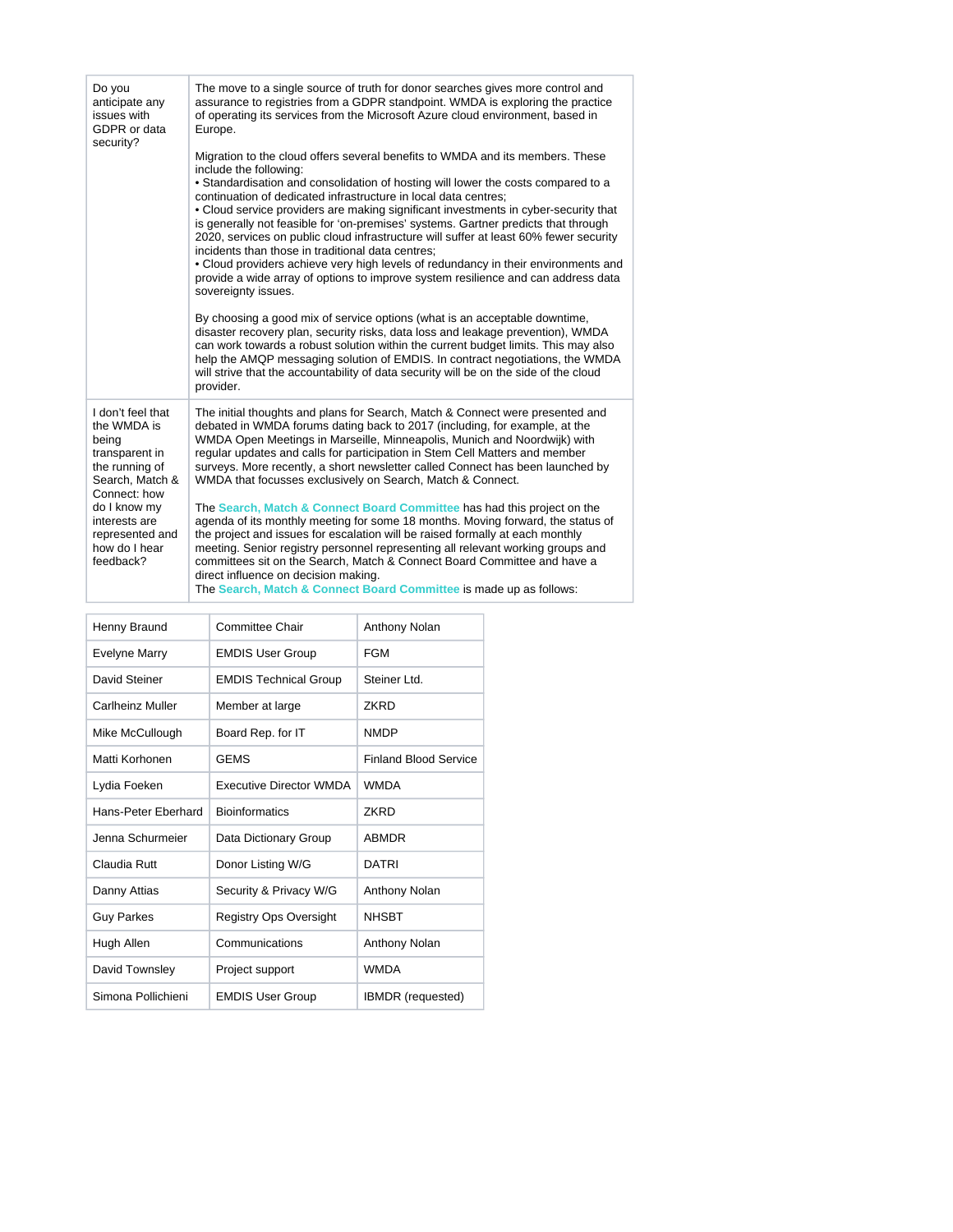| Do you<br>anticipate any<br>issues with<br>GDPR or data<br>security?                                                                                                                               | The move to a single source of truth for donor searches gives more control and<br>assurance to registries from a GDPR standpoint. WMDA is exploring the practice<br>of operating its services from the Microsoft Azure cloud environment, based in<br>Europe.<br>Migration to the cloud offers several benefits to WMDA and its members. These<br>include the following:<br>. Standardisation and consolidation of hosting will lower the costs compared to a<br>continuation of dedicated infrastructure in local data centres;<br>• Cloud service providers are making significant investments in cyber-security that<br>is generally not feasible for 'on-premises' systems. Gartner predicts that through<br>2020, services on public cloud infrastructure will suffer at least 60% fewer security<br>incidents than those in traditional data centres;<br>• Cloud providers achieve very high levels of redundancy in their environments and<br>provide a wide array of options to improve system resilience and can address data<br>sovereignty issues.<br>By choosing a good mix of service options (what is an acceptable downtime,<br>disaster recovery plan, security risks, data loss and leakage prevention), WMDA<br>can work towards a robust solution within the current budget limits. This may also<br>help the AMQP messaging solution of EMDIS. In contract negotiations, the WMDA<br>will strive that the accountability of data security will be on the side of the cloud<br>provider. |
|----------------------------------------------------------------------------------------------------------------------------------------------------------------------------------------------------|-------------------------------------------------------------------------------------------------------------------------------------------------------------------------------------------------------------------------------------------------------------------------------------------------------------------------------------------------------------------------------------------------------------------------------------------------------------------------------------------------------------------------------------------------------------------------------------------------------------------------------------------------------------------------------------------------------------------------------------------------------------------------------------------------------------------------------------------------------------------------------------------------------------------------------------------------------------------------------------------------------------------------------------------------------------------------------------------------------------------------------------------------------------------------------------------------------------------------------------------------------------------------------------------------------------------------------------------------------------------------------------------------------------------------------------------------------------------------------------------------------------|
| I don't feel that<br>the WMDA is<br>being<br>transparent in<br>the running of<br>Search, Match &<br>Connect: how<br>do I know my<br>interests are<br>represented and<br>how do I hear<br>feedback? | The initial thoughts and plans for Search, Match & Connect were presented and<br>debated in WMDA forums dating back to 2017 (including, for example, at the<br>WMDA Open Meetings in Marseille, Minneapolis, Munich and Noordwijk) with<br>regular updates and calls for participation in Stem Cell Matters and member<br>surveys. More recently, a short newsletter called Connect has been launched by<br>WMDA that focusses exclusively on Search, Match & Connect.<br>The Search, Match & Connect Board Committee has had this project on the<br>agenda of its monthly meeting for some 18 months. Moving forward, the status of<br>the project and issues for escalation will be raised formally at each monthly<br>meeting. Senior registry personnel representing all relevant working groups and<br>committees sit on the Search, Match & Connect Board Committee and have a<br>direct influence on decision making.<br>The Search, Match & Connect Board Committee is made up as follows:                                                                                                                                                                                                                                                                                                                                                                                                                                                                                                          |

| Henny Braund        | Committee Chair                | Anthony Nolan                |
|---------------------|--------------------------------|------------------------------|
| Evelyne Marry       | <b>EMDIS User Group</b>        | <b>FGM</b>                   |
| David Steiner       | <b>EMDIS Technical Group</b>   | Steiner Ltd.                 |
| Carlheinz Muller    | Member at large                | <b>7KRD</b>                  |
| Mike McCullough     | Board Rep. for IT              | <b>NMDP</b>                  |
| Matti Korhonen      | <b>GEMS</b>                    | <b>Finland Blood Service</b> |
| Lydia Foeken        | <b>Executive Director WMDA</b> | <b>WMDA</b>                  |
| Hans-Peter Fherhard | <b>Bioinformatics</b>          | <b>7KRD</b>                  |
| Jenna Schurmeier    | Data Dictionary Group          | ABMDR                        |
| Claudia Ruff        | Donor Listing W/G              | <b>DATRI</b>                 |
| Danny Attias        | Security & Privacy W/G         | Anthony Nolan                |
| <b>Guy Parkes</b>   | Registry Ops Oversight         | <b>NHSBT</b>                 |
| Hugh Allen          | Communications                 | Anthony Nolan                |
| David Townsley      | Project support                | <b>WMDA</b>                  |
| Simona Pollichieni  | <b>EMDIS User Group</b>        | <b>IBMDR</b> (requested)     |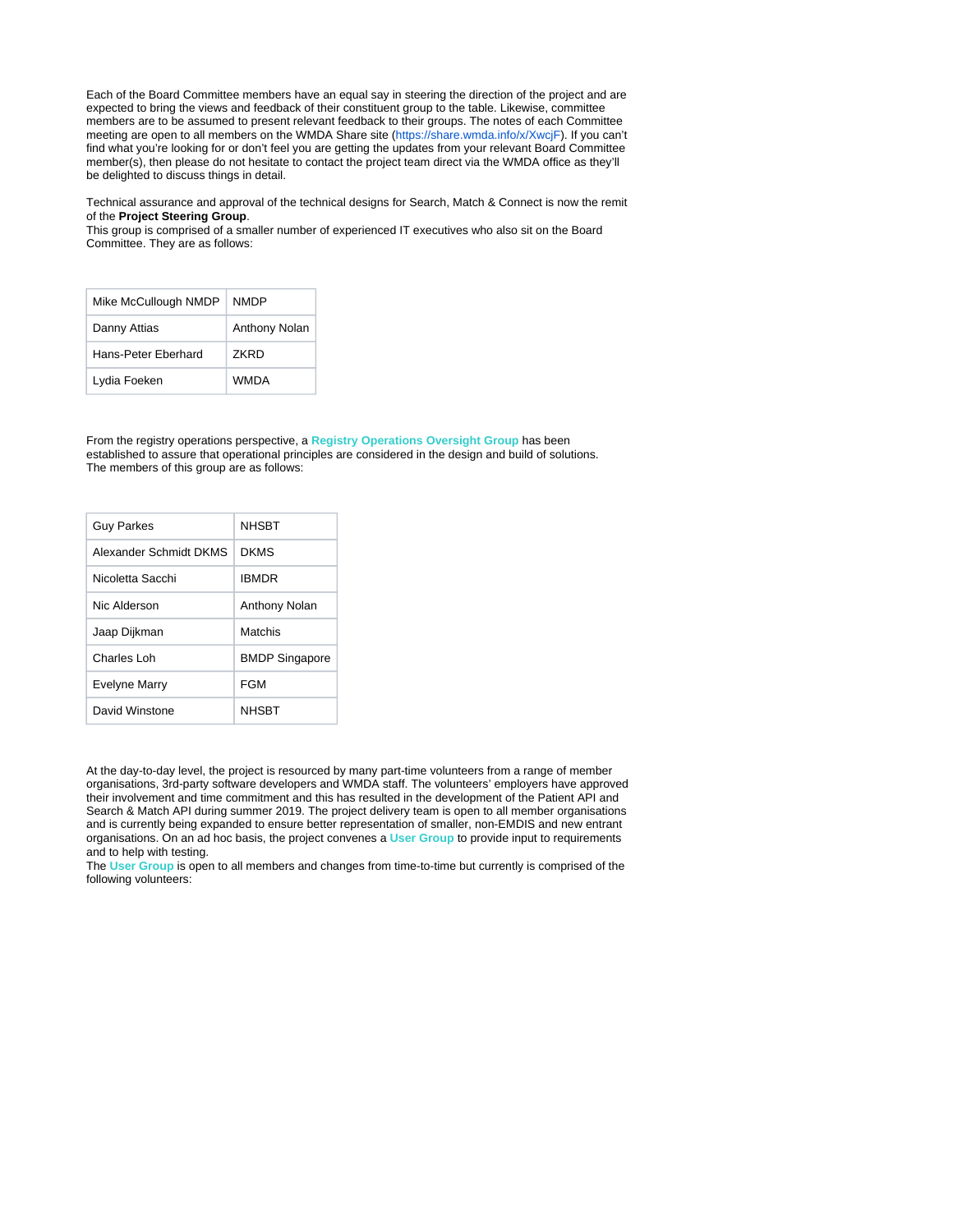Each of the Board Committee members have an equal say in steering the direction of the project and are expected to bring the views and feedback of their constituent group to the table. Likewise, committee members are to be assumed to present relevant feedback to their groups. The notes of each Committee meeting are open to all members on the WMDA Share site [\(https://share.wmda.info/x/XwcjF](https://share.wmda.info/x/XwcjF)). If you can't find what you're looking for or don't feel you are getting the updates from your relevant Board Committee member(s), then please do not hesitate to contact the project team direct via the WMDA office as they'll be delighted to discuss things in detail.

Technical assurance and approval of the technical designs for Search, Match & Connect is now the remit of the **Project Steering Group**.

This group is comprised of a smaller number of experienced IT executives who also sit on the Board Committee. They are as follows:

| Mike McCullough NMDP | <b>NMDP</b>   |
|----------------------|---------------|
| Danny Attias         | Anthony Nolan |
| Hans-Peter Fherhard  | 7KRD          |
| Lydia Foeken         | <b>WMDA</b>   |

From the registry operations perspective, a **Registry Operations Oversight Group** has been established to assure that operational principles are considered in the design and build of solutions. The members of this group are as follows:

| <b>Guy Parkes</b>      | <b>NHSBT</b>          |
|------------------------|-----------------------|
| Alexander Schmidt DKMS | <b>DKMS</b>           |
| Nicoletta Sacchi       | <b>IBMDR</b>          |
| Nic Alderson           | <b>Anthony Nolan</b>  |
| Jaap Dijkman           | Matchis               |
| Charles Loh            | <b>BMDP Singapore</b> |
| Evelyne Marry          | FGM                   |
| David Winstone         | <b>NHSBT</b>          |

At the day-to-day level, the project is resourced by many part-time volunteers from a range of member organisations, 3rd-party software developers and WMDA staff. The volunteers' employers have approved their involvement and time commitment and this has resulted in the development of the Patient API and Search & Match API during summer 2019. The project delivery team is open to all member organisations and is currently being expanded to ensure better representation of smaller, non-EMDIS and new entrant organisations. On an ad hoc basis, the project convenes a **User Group** to provide input to requirements and to help with testing.

The **User Group** is open to all members and changes from time-to-time but currently is comprised of the following volunteers: